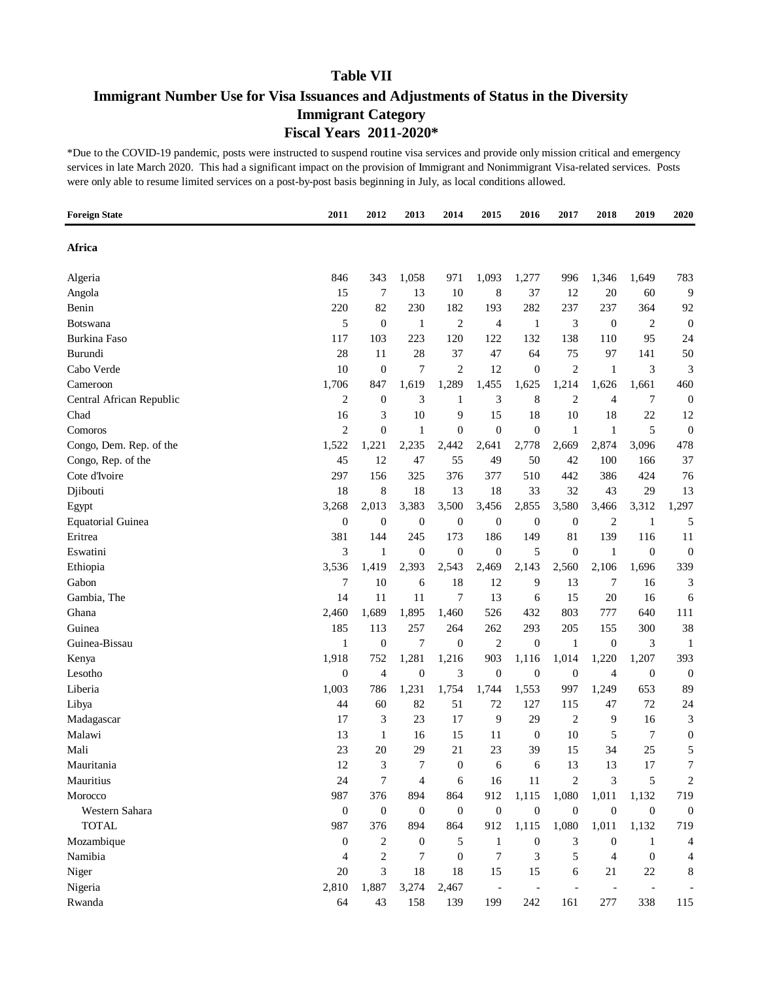### **Immigrant Number Use for Visa Issuances and Adjustments of Status in the Diversity Immigrant Category Fiscal Years 2011-2020\***

| Africa<br>846<br>343<br>1,058<br>971<br>1,093<br>1,277<br>996<br>1,346<br>783<br>Algeria<br>1,649<br>15<br>7<br>10<br>8<br>12<br>20<br>9<br>Angola<br>13<br>37<br>60<br>82<br>230<br>182<br>282<br>237<br>Benin<br>220<br>193<br>237<br>364<br>92<br>5<br>2<br>3<br>$\overline{2}$<br>$\theta$<br>$\mathbf{1}$<br>4<br>$\boldsymbol{0}$<br>$\boldsymbol{0}$<br><b>Botswana</b><br>1<br><b>Burkina Faso</b><br>223<br>120<br>132<br>138<br>117<br>103<br>122<br>110<br>95<br>24<br>28<br>28<br>37<br>75<br>50<br>Burundi<br>11<br>47<br>64<br>97<br>141<br>Cabo Verde<br>7<br>$\overline{c}$<br>$\overline{\mathbf{c}}$<br>3<br>3<br>10<br>$\theta$<br>12<br>$\boldsymbol{0}$<br>$\mathbf{1}$<br>1,619<br>1,289<br>1,626<br>1,706<br>847<br>1,455<br>1,625<br>1,214<br>1,661<br>460<br>Cameroon<br>$\overline{2}$<br>3<br>8<br>$\boldsymbol{0}$<br>Central African Republic<br>$\boldsymbol{0}$<br>3<br>$\overline{c}$<br>7<br>1<br>4<br>3<br>10<br>9<br>15<br>18<br>10<br>22<br>12<br>Chad<br>16<br>18<br>$\overline{2}$<br>$\mathbf{0}$<br>$\mathbf{1}$<br>$\boldsymbol{0}$<br>$\mathbf{0}$<br>$\mathbf{1}$<br>5<br>$\boldsymbol{0}$<br>Comoros<br>$\boldsymbol{0}$<br>$\mathbf{1}$<br>1,522<br>2,778<br>2,669<br>2,874<br>478<br>Congo, Dem. Rep. of the<br>1,221<br>2,235<br>2,442<br>2,641<br>3,096<br>37<br>Congo, Rep. of the<br>45<br>12<br>55<br>50<br>42<br>100<br>47<br>49<br>166<br>Cote d'Ivoire<br>297<br>376<br>386<br>156<br>325<br>377<br>510<br>442<br>424<br>76<br>18<br>8<br>18<br>13<br>18<br>33<br>32<br>43<br>29<br>13<br>Djibouti<br>3,500<br>3,268<br>2,013<br>3,383<br>3,456<br>2,855<br>3,580<br>3,466<br>3,312<br>1,297<br>Egypt<br>$\boldsymbol{0}$<br>$\mathbf{0}$<br>$\boldsymbol{0}$<br>$\mathbf{0}$<br>$\overline{2}$<br>$\theta$<br>$\boldsymbol{0}$<br>$\boldsymbol{0}$<br>$\mathbf{1}$<br>5<br><b>Equatorial Guinea</b><br>173<br>149<br>81<br>139<br>Eritrea<br>381<br>144<br>245<br>186<br>116<br>11<br>3<br>$\theta$<br>5<br>$\mathbf{0}$<br>$\overline{0}$<br>$\boldsymbol{0}$<br>Eswatini<br>$\mathbf{1}$<br>$\boldsymbol{0}$<br>$\mathbf{0}$<br>1<br>339<br>Ethiopia<br>3,536<br>1,419<br>2,393<br>2,543<br>2,469<br>2,143<br>2,560<br>2,106<br>1,696<br>10<br>18<br>7<br>3<br>Gabon<br>7<br>12<br>9<br>13<br>6<br>16<br>7<br>Gambia, The<br>14<br>11<br>11<br>13<br>15<br>20<br>6<br>6<br>16<br>1,689<br>1,895<br>803<br>Ghana<br>2,460<br>1,460<br>526<br>432<br>777<br>640<br>111<br>Guinea<br>185<br>113<br>257<br>293<br>38<br>264<br>262<br>205<br>300<br>155<br>7<br>2<br>3<br>Guinea-Bissau<br>$\mathbf{1}$<br>$\boldsymbol{0}$<br>$\boldsymbol{0}$<br>$\boldsymbol{0}$<br>$\mathbf{1}$<br>$\boldsymbol{0}$<br>1<br>1,918<br>752<br>1,281<br>1,216<br>903<br>1,220<br>1,207<br>393<br>Kenya<br>1,116<br>1,014<br>$\overline{4}$<br>3<br>$\boldsymbol{0}$<br>Lesotho<br>$\boldsymbol{0}$<br>$\boldsymbol{0}$<br>$\boldsymbol{0}$<br>$\boldsymbol{0}$<br>4<br>$\boldsymbol{0}$<br>$\boldsymbol{0}$<br>1,231<br>1,754<br>Liberia<br>1,003<br>786<br>1,744<br>1,553<br>997<br>1,249<br>653<br>89<br>72<br>44<br>60<br>82<br>51<br>127<br>115<br>47<br>24<br>Libya<br>72<br>23<br>17<br>29<br>$\overline{c}$<br>3<br>Madagascar<br>17<br>3<br>9<br>9<br>16<br>13<br>10<br>7<br>$\boldsymbol{0}$<br>Malawi<br>15<br>11<br>$\boldsymbol{0}$<br>5<br>1<br>16<br>23<br>21<br>23<br>15<br>25<br>5<br>Mali<br>20<br>29<br>39<br>34<br>12<br>7<br>$\boldsymbol{0}$<br>13<br>Mauritania<br>3<br>6<br>6<br>13<br>17<br>7<br>24<br>$\overline{7}$<br>$11\,$<br>$\mathfrak{2}$<br>3<br>5<br>Mauritius<br>$\overline{\mathcal{A}}$<br>16<br>6<br>2<br>Morocco<br>987<br>912<br>1,115<br>1,080<br>376<br>894<br>864<br>1,011<br>1,132<br>719<br>$\boldsymbol{0}$<br>$\boldsymbol{0}$<br>Western Sahara<br>$\boldsymbol{0}$<br>$\boldsymbol{0}$<br>$\boldsymbol{0}$<br>$\boldsymbol{0}$<br>$\boldsymbol{0}$<br>$\boldsymbol{0}$<br>$\boldsymbol{0}$<br>$\boldsymbol{0}$ | <b>Foreign State</b> | 2011 | 2012 | 2013 | 2014 | 2015 | 2016 | 2017 | 2018 | 2019 | 2020 |
|-------------------------------------------------------------------------------------------------------------------------------------------------------------------------------------------------------------------------------------------------------------------------------------------------------------------------------------------------------------------------------------------------------------------------------------------------------------------------------------------------------------------------------------------------------------------------------------------------------------------------------------------------------------------------------------------------------------------------------------------------------------------------------------------------------------------------------------------------------------------------------------------------------------------------------------------------------------------------------------------------------------------------------------------------------------------------------------------------------------------------------------------------------------------------------------------------------------------------------------------------------------------------------------------------------------------------------------------------------------------------------------------------------------------------------------------------------------------------------------------------------------------------------------------------------------------------------------------------------------------------------------------------------------------------------------------------------------------------------------------------------------------------------------------------------------------------------------------------------------------------------------------------------------------------------------------------------------------------------------------------------------------------------------------------------------------------------------------------------------------------------------------------------------------------------------------------------------------------------------------------------------------------------------------------------------------------------------------------------------------------------------------------------------------------------------------------------------------------------------------------------------------------------------------------------------------------------------------------------------------------------------------------------------------------------------------------------------------------------------------------------------------------------------------------------------------------------------------------------------------------------------------------------------------------------------------------------------------------------------------------------------------------------------------------------------------------------------------------------------------------------------------------------------------------------------------------------------------------------------------------------------------------------------------------------------------------------------------------------------------------------------------------------------------------------------------------------------------------------------------------------------------------------------------------------------------------------------------------------------------------------------------------------------------------------------------------------------------------------------------------------------------------------------------------------------------------------------------------------------------------------------------------------|----------------------|------|------|------|------|------|------|------|------|------|------|
|                                                                                                                                                                                                                                                                                                                                                                                                                                                                                                                                                                                                                                                                                                                                                                                                                                                                                                                                                                                                                                                                                                                                                                                                                                                                                                                                                                                                                                                                                                                                                                                                                                                                                                                                                                                                                                                                                                                                                                                                                                                                                                                                                                                                                                                                                                                                                                                                                                                                                                                                                                                                                                                                                                                                                                                                                                                                                                                                                                                                                                                                                                                                                                                                                                                                                                                                                                                                                                                                                                                                                                                                                                                                                                                                                                                                                                                                                                       |                      |      |      |      |      |      |      |      |      |      |      |
|                                                                                                                                                                                                                                                                                                                                                                                                                                                                                                                                                                                                                                                                                                                                                                                                                                                                                                                                                                                                                                                                                                                                                                                                                                                                                                                                                                                                                                                                                                                                                                                                                                                                                                                                                                                                                                                                                                                                                                                                                                                                                                                                                                                                                                                                                                                                                                                                                                                                                                                                                                                                                                                                                                                                                                                                                                                                                                                                                                                                                                                                                                                                                                                                                                                                                                                                                                                                                                                                                                                                                                                                                                                                                                                                                                                                                                                                                                       |                      |      |      |      |      |      |      |      |      |      |      |
|                                                                                                                                                                                                                                                                                                                                                                                                                                                                                                                                                                                                                                                                                                                                                                                                                                                                                                                                                                                                                                                                                                                                                                                                                                                                                                                                                                                                                                                                                                                                                                                                                                                                                                                                                                                                                                                                                                                                                                                                                                                                                                                                                                                                                                                                                                                                                                                                                                                                                                                                                                                                                                                                                                                                                                                                                                                                                                                                                                                                                                                                                                                                                                                                                                                                                                                                                                                                                                                                                                                                                                                                                                                                                                                                                                                                                                                                                                       |                      |      |      |      |      |      |      |      |      |      |      |
|                                                                                                                                                                                                                                                                                                                                                                                                                                                                                                                                                                                                                                                                                                                                                                                                                                                                                                                                                                                                                                                                                                                                                                                                                                                                                                                                                                                                                                                                                                                                                                                                                                                                                                                                                                                                                                                                                                                                                                                                                                                                                                                                                                                                                                                                                                                                                                                                                                                                                                                                                                                                                                                                                                                                                                                                                                                                                                                                                                                                                                                                                                                                                                                                                                                                                                                                                                                                                                                                                                                                                                                                                                                                                                                                                                                                                                                                                                       |                      |      |      |      |      |      |      |      |      |      |      |
|                                                                                                                                                                                                                                                                                                                                                                                                                                                                                                                                                                                                                                                                                                                                                                                                                                                                                                                                                                                                                                                                                                                                                                                                                                                                                                                                                                                                                                                                                                                                                                                                                                                                                                                                                                                                                                                                                                                                                                                                                                                                                                                                                                                                                                                                                                                                                                                                                                                                                                                                                                                                                                                                                                                                                                                                                                                                                                                                                                                                                                                                                                                                                                                                                                                                                                                                                                                                                                                                                                                                                                                                                                                                                                                                                                                                                                                                                                       |                      |      |      |      |      |      |      |      |      |      |      |
|                                                                                                                                                                                                                                                                                                                                                                                                                                                                                                                                                                                                                                                                                                                                                                                                                                                                                                                                                                                                                                                                                                                                                                                                                                                                                                                                                                                                                                                                                                                                                                                                                                                                                                                                                                                                                                                                                                                                                                                                                                                                                                                                                                                                                                                                                                                                                                                                                                                                                                                                                                                                                                                                                                                                                                                                                                                                                                                                                                                                                                                                                                                                                                                                                                                                                                                                                                                                                                                                                                                                                                                                                                                                                                                                                                                                                                                                                                       |                      |      |      |      |      |      |      |      |      |      |      |
|                                                                                                                                                                                                                                                                                                                                                                                                                                                                                                                                                                                                                                                                                                                                                                                                                                                                                                                                                                                                                                                                                                                                                                                                                                                                                                                                                                                                                                                                                                                                                                                                                                                                                                                                                                                                                                                                                                                                                                                                                                                                                                                                                                                                                                                                                                                                                                                                                                                                                                                                                                                                                                                                                                                                                                                                                                                                                                                                                                                                                                                                                                                                                                                                                                                                                                                                                                                                                                                                                                                                                                                                                                                                                                                                                                                                                                                                                                       |                      |      |      |      |      |      |      |      |      |      |      |
|                                                                                                                                                                                                                                                                                                                                                                                                                                                                                                                                                                                                                                                                                                                                                                                                                                                                                                                                                                                                                                                                                                                                                                                                                                                                                                                                                                                                                                                                                                                                                                                                                                                                                                                                                                                                                                                                                                                                                                                                                                                                                                                                                                                                                                                                                                                                                                                                                                                                                                                                                                                                                                                                                                                                                                                                                                                                                                                                                                                                                                                                                                                                                                                                                                                                                                                                                                                                                                                                                                                                                                                                                                                                                                                                                                                                                                                                                                       |                      |      |      |      |      |      |      |      |      |      |      |
|                                                                                                                                                                                                                                                                                                                                                                                                                                                                                                                                                                                                                                                                                                                                                                                                                                                                                                                                                                                                                                                                                                                                                                                                                                                                                                                                                                                                                                                                                                                                                                                                                                                                                                                                                                                                                                                                                                                                                                                                                                                                                                                                                                                                                                                                                                                                                                                                                                                                                                                                                                                                                                                                                                                                                                                                                                                                                                                                                                                                                                                                                                                                                                                                                                                                                                                                                                                                                                                                                                                                                                                                                                                                                                                                                                                                                                                                                                       |                      |      |      |      |      |      |      |      |      |      |      |
|                                                                                                                                                                                                                                                                                                                                                                                                                                                                                                                                                                                                                                                                                                                                                                                                                                                                                                                                                                                                                                                                                                                                                                                                                                                                                                                                                                                                                                                                                                                                                                                                                                                                                                                                                                                                                                                                                                                                                                                                                                                                                                                                                                                                                                                                                                                                                                                                                                                                                                                                                                                                                                                                                                                                                                                                                                                                                                                                                                                                                                                                                                                                                                                                                                                                                                                                                                                                                                                                                                                                                                                                                                                                                                                                                                                                                                                                                                       |                      |      |      |      |      |      |      |      |      |      |      |
|                                                                                                                                                                                                                                                                                                                                                                                                                                                                                                                                                                                                                                                                                                                                                                                                                                                                                                                                                                                                                                                                                                                                                                                                                                                                                                                                                                                                                                                                                                                                                                                                                                                                                                                                                                                                                                                                                                                                                                                                                                                                                                                                                                                                                                                                                                                                                                                                                                                                                                                                                                                                                                                                                                                                                                                                                                                                                                                                                                                                                                                                                                                                                                                                                                                                                                                                                                                                                                                                                                                                                                                                                                                                                                                                                                                                                                                                                                       |                      |      |      |      |      |      |      |      |      |      |      |
|                                                                                                                                                                                                                                                                                                                                                                                                                                                                                                                                                                                                                                                                                                                                                                                                                                                                                                                                                                                                                                                                                                                                                                                                                                                                                                                                                                                                                                                                                                                                                                                                                                                                                                                                                                                                                                                                                                                                                                                                                                                                                                                                                                                                                                                                                                                                                                                                                                                                                                                                                                                                                                                                                                                                                                                                                                                                                                                                                                                                                                                                                                                                                                                                                                                                                                                                                                                                                                                                                                                                                                                                                                                                                                                                                                                                                                                                                                       |                      |      |      |      |      |      |      |      |      |      |      |
|                                                                                                                                                                                                                                                                                                                                                                                                                                                                                                                                                                                                                                                                                                                                                                                                                                                                                                                                                                                                                                                                                                                                                                                                                                                                                                                                                                                                                                                                                                                                                                                                                                                                                                                                                                                                                                                                                                                                                                                                                                                                                                                                                                                                                                                                                                                                                                                                                                                                                                                                                                                                                                                                                                                                                                                                                                                                                                                                                                                                                                                                                                                                                                                                                                                                                                                                                                                                                                                                                                                                                                                                                                                                                                                                                                                                                                                                                                       |                      |      |      |      |      |      |      |      |      |      |      |
|                                                                                                                                                                                                                                                                                                                                                                                                                                                                                                                                                                                                                                                                                                                                                                                                                                                                                                                                                                                                                                                                                                                                                                                                                                                                                                                                                                                                                                                                                                                                                                                                                                                                                                                                                                                                                                                                                                                                                                                                                                                                                                                                                                                                                                                                                                                                                                                                                                                                                                                                                                                                                                                                                                                                                                                                                                                                                                                                                                                                                                                                                                                                                                                                                                                                                                                                                                                                                                                                                                                                                                                                                                                                                                                                                                                                                                                                                                       |                      |      |      |      |      |      |      |      |      |      |      |
|                                                                                                                                                                                                                                                                                                                                                                                                                                                                                                                                                                                                                                                                                                                                                                                                                                                                                                                                                                                                                                                                                                                                                                                                                                                                                                                                                                                                                                                                                                                                                                                                                                                                                                                                                                                                                                                                                                                                                                                                                                                                                                                                                                                                                                                                                                                                                                                                                                                                                                                                                                                                                                                                                                                                                                                                                                                                                                                                                                                                                                                                                                                                                                                                                                                                                                                                                                                                                                                                                                                                                                                                                                                                                                                                                                                                                                                                                                       |                      |      |      |      |      |      |      |      |      |      |      |
|                                                                                                                                                                                                                                                                                                                                                                                                                                                                                                                                                                                                                                                                                                                                                                                                                                                                                                                                                                                                                                                                                                                                                                                                                                                                                                                                                                                                                                                                                                                                                                                                                                                                                                                                                                                                                                                                                                                                                                                                                                                                                                                                                                                                                                                                                                                                                                                                                                                                                                                                                                                                                                                                                                                                                                                                                                                                                                                                                                                                                                                                                                                                                                                                                                                                                                                                                                                                                                                                                                                                                                                                                                                                                                                                                                                                                                                                                                       |                      |      |      |      |      |      |      |      |      |      |      |
|                                                                                                                                                                                                                                                                                                                                                                                                                                                                                                                                                                                                                                                                                                                                                                                                                                                                                                                                                                                                                                                                                                                                                                                                                                                                                                                                                                                                                                                                                                                                                                                                                                                                                                                                                                                                                                                                                                                                                                                                                                                                                                                                                                                                                                                                                                                                                                                                                                                                                                                                                                                                                                                                                                                                                                                                                                                                                                                                                                                                                                                                                                                                                                                                                                                                                                                                                                                                                                                                                                                                                                                                                                                                                                                                                                                                                                                                                                       |                      |      |      |      |      |      |      |      |      |      |      |
|                                                                                                                                                                                                                                                                                                                                                                                                                                                                                                                                                                                                                                                                                                                                                                                                                                                                                                                                                                                                                                                                                                                                                                                                                                                                                                                                                                                                                                                                                                                                                                                                                                                                                                                                                                                                                                                                                                                                                                                                                                                                                                                                                                                                                                                                                                                                                                                                                                                                                                                                                                                                                                                                                                                                                                                                                                                                                                                                                                                                                                                                                                                                                                                                                                                                                                                                                                                                                                                                                                                                                                                                                                                                                                                                                                                                                                                                                                       |                      |      |      |      |      |      |      |      |      |      |      |
|                                                                                                                                                                                                                                                                                                                                                                                                                                                                                                                                                                                                                                                                                                                                                                                                                                                                                                                                                                                                                                                                                                                                                                                                                                                                                                                                                                                                                                                                                                                                                                                                                                                                                                                                                                                                                                                                                                                                                                                                                                                                                                                                                                                                                                                                                                                                                                                                                                                                                                                                                                                                                                                                                                                                                                                                                                                                                                                                                                                                                                                                                                                                                                                                                                                                                                                                                                                                                                                                                                                                                                                                                                                                                                                                                                                                                                                                                                       |                      |      |      |      |      |      |      |      |      |      |      |
|                                                                                                                                                                                                                                                                                                                                                                                                                                                                                                                                                                                                                                                                                                                                                                                                                                                                                                                                                                                                                                                                                                                                                                                                                                                                                                                                                                                                                                                                                                                                                                                                                                                                                                                                                                                                                                                                                                                                                                                                                                                                                                                                                                                                                                                                                                                                                                                                                                                                                                                                                                                                                                                                                                                                                                                                                                                                                                                                                                                                                                                                                                                                                                                                                                                                                                                                                                                                                                                                                                                                                                                                                                                                                                                                                                                                                                                                                                       |                      |      |      |      |      |      |      |      |      |      |      |
|                                                                                                                                                                                                                                                                                                                                                                                                                                                                                                                                                                                                                                                                                                                                                                                                                                                                                                                                                                                                                                                                                                                                                                                                                                                                                                                                                                                                                                                                                                                                                                                                                                                                                                                                                                                                                                                                                                                                                                                                                                                                                                                                                                                                                                                                                                                                                                                                                                                                                                                                                                                                                                                                                                                                                                                                                                                                                                                                                                                                                                                                                                                                                                                                                                                                                                                                                                                                                                                                                                                                                                                                                                                                                                                                                                                                                                                                                                       |                      |      |      |      |      |      |      |      |      |      |      |
|                                                                                                                                                                                                                                                                                                                                                                                                                                                                                                                                                                                                                                                                                                                                                                                                                                                                                                                                                                                                                                                                                                                                                                                                                                                                                                                                                                                                                                                                                                                                                                                                                                                                                                                                                                                                                                                                                                                                                                                                                                                                                                                                                                                                                                                                                                                                                                                                                                                                                                                                                                                                                                                                                                                                                                                                                                                                                                                                                                                                                                                                                                                                                                                                                                                                                                                                                                                                                                                                                                                                                                                                                                                                                                                                                                                                                                                                                                       |                      |      |      |      |      |      |      |      |      |      |      |
|                                                                                                                                                                                                                                                                                                                                                                                                                                                                                                                                                                                                                                                                                                                                                                                                                                                                                                                                                                                                                                                                                                                                                                                                                                                                                                                                                                                                                                                                                                                                                                                                                                                                                                                                                                                                                                                                                                                                                                                                                                                                                                                                                                                                                                                                                                                                                                                                                                                                                                                                                                                                                                                                                                                                                                                                                                                                                                                                                                                                                                                                                                                                                                                                                                                                                                                                                                                                                                                                                                                                                                                                                                                                                                                                                                                                                                                                                                       |                      |      |      |      |      |      |      |      |      |      |      |
|                                                                                                                                                                                                                                                                                                                                                                                                                                                                                                                                                                                                                                                                                                                                                                                                                                                                                                                                                                                                                                                                                                                                                                                                                                                                                                                                                                                                                                                                                                                                                                                                                                                                                                                                                                                                                                                                                                                                                                                                                                                                                                                                                                                                                                                                                                                                                                                                                                                                                                                                                                                                                                                                                                                                                                                                                                                                                                                                                                                                                                                                                                                                                                                                                                                                                                                                                                                                                                                                                                                                                                                                                                                                                                                                                                                                                                                                                                       |                      |      |      |      |      |      |      |      |      |      |      |
|                                                                                                                                                                                                                                                                                                                                                                                                                                                                                                                                                                                                                                                                                                                                                                                                                                                                                                                                                                                                                                                                                                                                                                                                                                                                                                                                                                                                                                                                                                                                                                                                                                                                                                                                                                                                                                                                                                                                                                                                                                                                                                                                                                                                                                                                                                                                                                                                                                                                                                                                                                                                                                                                                                                                                                                                                                                                                                                                                                                                                                                                                                                                                                                                                                                                                                                                                                                                                                                                                                                                                                                                                                                                                                                                                                                                                                                                                                       |                      |      |      |      |      |      |      |      |      |      |      |
|                                                                                                                                                                                                                                                                                                                                                                                                                                                                                                                                                                                                                                                                                                                                                                                                                                                                                                                                                                                                                                                                                                                                                                                                                                                                                                                                                                                                                                                                                                                                                                                                                                                                                                                                                                                                                                                                                                                                                                                                                                                                                                                                                                                                                                                                                                                                                                                                                                                                                                                                                                                                                                                                                                                                                                                                                                                                                                                                                                                                                                                                                                                                                                                                                                                                                                                                                                                                                                                                                                                                                                                                                                                                                                                                                                                                                                                                                                       |                      |      |      |      |      |      |      |      |      |      |      |
|                                                                                                                                                                                                                                                                                                                                                                                                                                                                                                                                                                                                                                                                                                                                                                                                                                                                                                                                                                                                                                                                                                                                                                                                                                                                                                                                                                                                                                                                                                                                                                                                                                                                                                                                                                                                                                                                                                                                                                                                                                                                                                                                                                                                                                                                                                                                                                                                                                                                                                                                                                                                                                                                                                                                                                                                                                                                                                                                                                                                                                                                                                                                                                                                                                                                                                                                                                                                                                                                                                                                                                                                                                                                                                                                                                                                                                                                                                       |                      |      |      |      |      |      |      |      |      |      |      |
|                                                                                                                                                                                                                                                                                                                                                                                                                                                                                                                                                                                                                                                                                                                                                                                                                                                                                                                                                                                                                                                                                                                                                                                                                                                                                                                                                                                                                                                                                                                                                                                                                                                                                                                                                                                                                                                                                                                                                                                                                                                                                                                                                                                                                                                                                                                                                                                                                                                                                                                                                                                                                                                                                                                                                                                                                                                                                                                                                                                                                                                                                                                                                                                                                                                                                                                                                                                                                                                                                                                                                                                                                                                                                                                                                                                                                                                                                                       |                      |      |      |      |      |      |      |      |      |      |      |
|                                                                                                                                                                                                                                                                                                                                                                                                                                                                                                                                                                                                                                                                                                                                                                                                                                                                                                                                                                                                                                                                                                                                                                                                                                                                                                                                                                                                                                                                                                                                                                                                                                                                                                                                                                                                                                                                                                                                                                                                                                                                                                                                                                                                                                                                                                                                                                                                                                                                                                                                                                                                                                                                                                                                                                                                                                                                                                                                                                                                                                                                                                                                                                                                                                                                                                                                                                                                                                                                                                                                                                                                                                                                                                                                                                                                                                                                                                       |                      |      |      |      |      |      |      |      |      |      |      |
|                                                                                                                                                                                                                                                                                                                                                                                                                                                                                                                                                                                                                                                                                                                                                                                                                                                                                                                                                                                                                                                                                                                                                                                                                                                                                                                                                                                                                                                                                                                                                                                                                                                                                                                                                                                                                                                                                                                                                                                                                                                                                                                                                                                                                                                                                                                                                                                                                                                                                                                                                                                                                                                                                                                                                                                                                                                                                                                                                                                                                                                                                                                                                                                                                                                                                                                                                                                                                                                                                                                                                                                                                                                                                                                                                                                                                                                                                                       |                      |      |      |      |      |      |      |      |      |      |      |
|                                                                                                                                                                                                                                                                                                                                                                                                                                                                                                                                                                                                                                                                                                                                                                                                                                                                                                                                                                                                                                                                                                                                                                                                                                                                                                                                                                                                                                                                                                                                                                                                                                                                                                                                                                                                                                                                                                                                                                                                                                                                                                                                                                                                                                                                                                                                                                                                                                                                                                                                                                                                                                                                                                                                                                                                                                                                                                                                                                                                                                                                                                                                                                                                                                                                                                                                                                                                                                                                                                                                                                                                                                                                                                                                                                                                                                                                                                       |                      |      |      |      |      |      |      |      |      |      |      |
|                                                                                                                                                                                                                                                                                                                                                                                                                                                                                                                                                                                                                                                                                                                                                                                                                                                                                                                                                                                                                                                                                                                                                                                                                                                                                                                                                                                                                                                                                                                                                                                                                                                                                                                                                                                                                                                                                                                                                                                                                                                                                                                                                                                                                                                                                                                                                                                                                                                                                                                                                                                                                                                                                                                                                                                                                                                                                                                                                                                                                                                                                                                                                                                                                                                                                                                                                                                                                                                                                                                                                                                                                                                                                                                                                                                                                                                                                                       |                      |      |      |      |      |      |      |      |      |      |      |
|                                                                                                                                                                                                                                                                                                                                                                                                                                                                                                                                                                                                                                                                                                                                                                                                                                                                                                                                                                                                                                                                                                                                                                                                                                                                                                                                                                                                                                                                                                                                                                                                                                                                                                                                                                                                                                                                                                                                                                                                                                                                                                                                                                                                                                                                                                                                                                                                                                                                                                                                                                                                                                                                                                                                                                                                                                                                                                                                                                                                                                                                                                                                                                                                                                                                                                                                                                                                                                                                                                                                                                                                                                                                                                                                                                                                                                                                                                       |                      |      |      |      |      |      |      |      |      |      |      |
|                                                                                                                                                                                                                                                                                                                                                                                                                                                                                                                                                                                                                                                                                                                                                                                                                                                                                                                                                                                                                                                                                                                                                                                                                                                                                                                                                                                                                                                                                                                                                                                                                                                                                                                                                                                                                                                                                                                                                                                                                                                                                                                                                                                                                                                                                                                                                                                                                                                                                                                                                                                                                                                                                                                                                                                                                                                                                                                                                                                                                                                                                                                                                                                                                                                                                                                                                                                                                                                                                                                                                                                                                                                                                                                                                                                                                                                                                                       |                      |      |      |      |      |      |      |      |      |      |      |
|                                                                                                                                                                                                                                                                                                                                                                                                                                                                                                                                                                                                                                                                                                                                                                                                                                                                                                                                                                                                                                                                                                                                                                                                                                                                                                                                                                                                                                                                                                                                                                                                                                                                                                                                                                                                                                                                                                                                                                                                                                                                                                                                                                                                                                                                                                                                                                                                                                                                                                                                                                                                                                                                                                                                                                                                                                                                                                                                                                                                                                                                                                                                                                                                                                                                                                                                                                                                                                                                                                                                                                                                                                                                                                                                                                                                                                                                                                       |                      |      |      |      |      |      |      |      |      |      |      |
|                                                                                                                                                                                                                                                                                                                                                                                                                                                                                                                                                                                                                                                                                                                                                                                                                                                                                                                                                                                                                                                                                                                                                                                                                                                                                                                                                                                                                                                                                                                                                                                                                                                                                                                                                                                                                                                                                                                                                                                                                                                                                                                                                                                                                                                                                                                                                                                                                                                                                                                                                                                                                                                                                                                                                                                                                                                                                                                                                                                                                                                                                                                                                                                                                                                                                                                                                                                                                                                                                                                                                                                                                                                                                                                                                                                                                                                                                                       |                      |      |      |      |      |      |      |      |      |      |      |
|                                                                                                                                                                                                                                                                                                                                                                                                                                                                                                                                                                                                                                                                                                                                                                                                                                                                                                                                                                                                                                                                                                                                                                                                                                                                                                                                                                                                                                                                                                                                                                                                                                                                                                                                                                                                                                                                                                                                                                                                                                                                                                                                                                                                                                                                                                                                                                                                                                                                                                                                                                                                                                                                                                                                                                                                                                                                                                                                                                                                                                                                                                                                                                                                                                                                                                                                                                                                                                                                                                                                                                                                                                                                                                                                                                                                                                                                                                       |                      |      |      |      |      |      |      |      |      |      |      |
| 1,080<br><b>TOTAL</b><br>987<br>912<br>1,011<br>376<br>894<br>1,115<br>1,132<br>719<br>864                                                                                                                                                                                                                                                                                                                                                                                                                                                                                                                                                                                                                                                                                                                                                                                                                                                                                                                                                                                                                                                                                                                                                                                                                                                                                                                                                                                                                                                                                                                                                                                                                                                                                                                                                                                                                                                                                                                                                                                                                                                                                                                                                                                                                                                                                                                                                                                                                                                                                                                                                                                                                                                                                                                                                                                                                                                                                                                                                                                                                                                                                                                                                                                                                                                                                                                                                                                                                                                                                                                                                                                                                                                                                                                                                                                                            |                      |      |      |      |      |      |      |      |      |      |      |
| Mozambique<br>2<br>$\boldsymbol{0}$<br>$\mathbf{1}$<br>$\mathbf{0}$<br>3<br>$\boldsymbol{0}$<br>5<br>$\boldsymbol{0}$<br>$\mathbf{1}$<br>4                                                                                                                                                                                                                                                                                                                                                                                                                                                                                                                                                                                                                                                                                                                                                                                                                                                                                                                                                                                                                                                                                                                                                                                                                                                                                                                                                                                                                                                                                                                                                                                                                                                                                                                                                                                                                                                                                                                                                                                                                                                                                                                                                                                                                                                                                                                                                                                                                                                                                                                                                                                                                                                                                                                                                                                                                                                                                                                                                                                                                                                                                                                                                                                                                                                                                                                                                                                                                                                                                                                                                                                                                                                                                                                                                            |                      |      |      |      |      |      |      |      |      |      |      |
| $\mathbf{2}$<br>$\overline{7}$<br>Namibia<br>7<br>$\boldsymbol{0}$<br>3<br>5<br>$\boldsymbol{0}$<br>4<br>$\overline{4}$<br>4                                                                                                                                                                                                                                                                                                                                                                                                                                                                                                                                                                                                                                                                                                                                                                                                                                                                                                                                                                                                                                                                                                                                                                                                                                                                                                                                                                                                                                                                                                                                                                                                                                                                                                                                                                                                                                                                                                                                                                                                                                                                                                                                                                                                                                                                                                                                                                                                                                                                                                                                                                                                                                                                                                                                                                                                                                                                                                                                                                                                                                                                                                                                                                                                                                                                                                                                                                                                                                                                                                                                                                                                                                                                                                                                                                          |                      |      |      |      |      |      |      |      |      |      |      |
| 3<br>15<br>18<br>15<br>6<br>22<br>Niger<br>20<br>18<br>21<br>8                                                                                                                                                                                                                                                                                                                                                                                                                                                                                                                                                                                                                                                                                                                                                                                                                                                                                                                                                                                                                                                                                                                                                                                                                                                                                                                                                                                                                                                                                                                                                                                                                                                                                                                                                                                                                                                                                                                                                                                                                                                                                                                                                                                                                                                                                                                                                                                                                                                                                                                                                                                                                                                                                                                                                                                                                                                                                                                                                                                                                                                                                                                                                                                                                                                                                                                                                                                                                                                                                                                                                                                                                                                                                                                                                                                                                                        |                      |      |      |      |      |      |      |      |      |      |      |
| Nigeria<br>2,810<br>1,887<br>3,274<br>2,467<br>$\overline{\phantom{0}}$                                                                                                                                                                                                                                                                                                                                                                                                                                                                                                                                                                                                                                                                                                                                                                                                                                                                                                                                                                                                                                                                                                                                                                                                                                                                                                                                                                                                                                                                                                                                                                                                                                                                                                                                                                                                                                                                                                                                                                                                                                                                                                                                                                                                                                                                                                                                                                                                                                                                                                                                                                                                                                                                                                                                                                                                                                                                                                                                                                                                                                                                                                                                                                                                                                                                                                                                                                                                                                                                                                                                                                                                                                                                                                                                                                                                                               |                      |      |      |      |      |      |      |      |      |      |      |
| Rwanda<br>139<br>199<br>242<br>161<br>277<br>338<br>115<br>64<br>43<br>158                                                                                                                                                                                                                                                                                                                                                                                                                                                                                                                                                                                                                                                                                                                                                                                                                                                                                                                                                                                                                                                                                                                                                                                                                                                                                                                                                                                                                                                                                                                                                                                                                                                                                                                                                                                                                                                                                                                                                                                                                                                                                                                                                                                                                                                                                                                                                                                                                                                                                                                                                                                                                                                                                                                                                                                                                                                                                                                                                                                                                                                                                                                                                                                                                                                                                                                                                                                                                                                                                                                                                                                                                                                                                                                                                                                                                            |                      |      |      |      |      |      |      |      |      |      |      |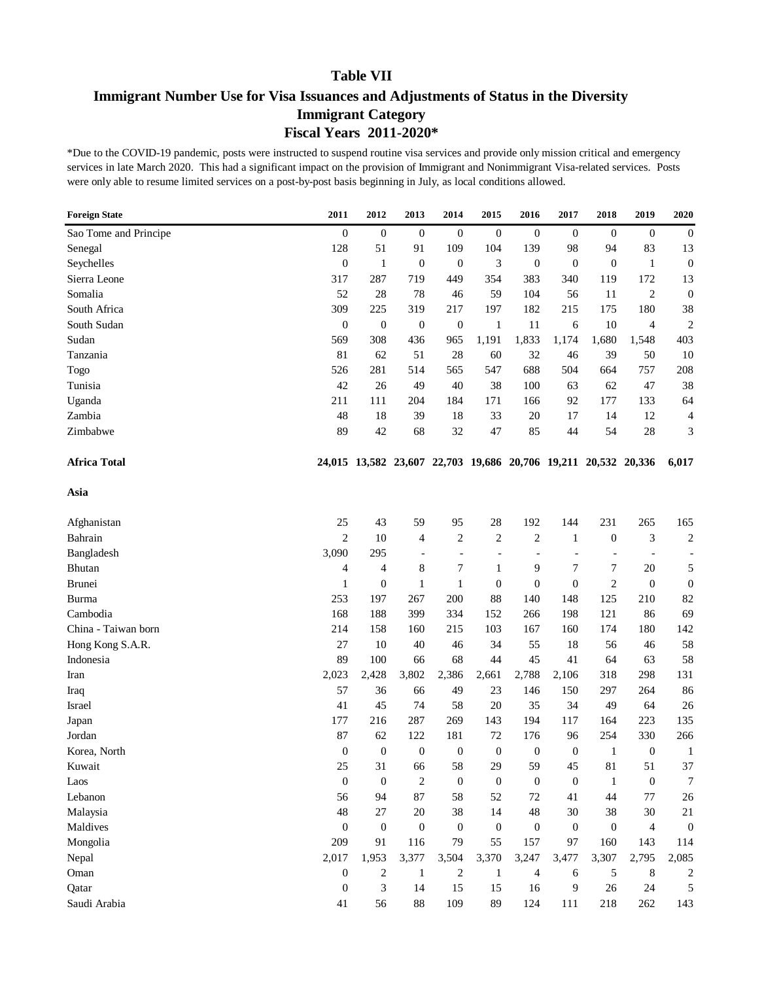# **Immigrant Number Use for Visa Issuances and Adjustments of Status in the Diversity Immigrant Category Fiscal Years 2011-2020\***

| <b>Foreign State</b>  | 2011             | 2012             | 2013                     | 2014             | 2015             | 2016                                                           | 2017                     | 2018                     | 2019           | 2020             |
|-----------------------|------------------|------------------|--------------------------|------------------|------------------|----------------------------------------------------------------|--------------------------|--------------------------|----------------|------------------|
| Sao Tome and Principe | $\boldsymbol{0}$ | $\boldsymbol{0}$ | $\boldsymbol{0}$         | $\mathbf{0}$     | $\boldsymbol{0}$ | $\mathbf{0}$                                                   | $\boldsymbol{0}$         | $\overline{0}$           | $\overline{0}$ | $\mathbf{0}$     |
| Senegal               | 128              | 51               | 91                       | 109              | 104              | 139                                                            | 98                       | 94                       | 83             | 13               |
| Seychelles            | $\boldsymbol{0}$ | $\mathbf{1}$     | $\boldsymbol{0}$         | $\mathbf{0}$     | 3                | $\boldsymbol{0}$                                               | $\boldsymbol{0}$         | $\boldsymbol{0}$         | $\mathbf{1}$   | $\mathbf{0}$     |
| Sierra Leone          | 317              | 287              | 719                      | 449              | 354              | 383                                                            | 340                      | 119                      | 172            | 13               |
| Somalia               | 52               | 28               | 78                       | 46               | 59               | 104                                                            | 56                       | 11                       | $\overline{2}$ | $\mathbf{0}$     |
| South Africa          | 309              | 225              | 319                      | 217              | 197              | 182                                                            | 215                      | 175                      | 180            | 38               |
| South Sudan           | $\boldsymbol{0}$ | $\mathbf{0}$     | $\boldsymbol{0}$         | $\boldsymbol{0}$ | $\mathbf{1}$     | 11                                                             | 6                        | 10                       | $\overline{4}$ | $\overline{c}$   |
| Sudan                 | 569              | 308              | 436                      | 965              | 1,191            | 1,833                                                          | 1,174                    | 1,680                    | 1,548          | 403              |
| Tanzania              | 81               | 62               | 51                       | 28               | 60               | 32                                                             | 46                       | 39                       | 50             | 10               |
| Togo                  | 526              | 281              | 514                      | 565              | 547              | 688                                                            | 504                      | 664                      | 757            | 208              |
| Tunisia               | 42               | 26               | 49                       | 40               | 38               | 100                                                            | 63                       | 62                       | 47             | 38               |
| Uganda                | 211              | 111              | 204                      | 184              | 171              | 166                                                            | 92                       | 177                      | 133            | 64               |
| Zambia                | 48               | 18               | 39                       | 18               | 33               | 20                                                             | 17                       | 14                       | 12             | 4                |
| Zimbabwe              | 89               | 42               | 68                       | 32               | 47               | 85                                                             | 44                       | 54                       | 28             | 3                |
| <b>Africa Total</b>   |                  |                  |                          |                  |                  | 24,015 13,582 23,607 22,703 19,686 20,706 19,211 20,532 20,336 |                          |                          |                | 6,017            |
| Asia                  |                  |                  |                          |                  |                  |                                                                |                          |                          |                |                  |
| Afghanistan           | 25               | 43               | 59                       | 95               | 28               | 192                                                            | 144                      | 231                      | 265            | 165              |
| Bahrain               | $\overline{2}$   | 10               | 4                        | $\overline{c}$   | 2                | 2                                                              | $\mathbf{1}$             | $\boldsymbol{0}$         | 3              | $\boldsymbol{2}$ |
| Bangladesh            | 3,090            | 295              | $\overline{\phantom{a}}$ | $\overline{a}$   | $\overline{a}$   | $\overline{\phantom{a}}$                                       | $\overline{\phantom{0}}$ | $\overline{\phantom{0}}$ |                |                  |
| Bhutan                | 4                | 4                | 8                        | $\tau$           | $\mathbf{1}$     | 9                                                              | 7                        | 7                        | 20             | 5                |
| Brunei                | $\mathbf{1}$     | $\boldsymbol{0}$ | $\mathbf{1}$             | $\mathbf{1}$     | $\boldsymbol{0}$ | $\boldsymbol{0}$                                               | $\boldsymbol{0}$         | $\overline{c}$           | $\mathbf{0}$   | $\boldsymbol{0}$ |
| Burma                 | 253              | 197              | 267                      | 200              | 88               | 140                                                            | 148                      | 125                      | 210            | 82               |
| Cambodia              | 168              | 188              | 399                      | 334              | 152              | 266                                                            | 198                      | 121                      | 86             | 69               |
| China - Taiwan born   | 214              | 158              | 160                      | 215              | 103              | 167                                                            | 160                      | 174                      | 180            | 142              |
| Hong Kong S.A.R.      | 27               | 10               | 40                       | 46               | 34               | 55                                                             | 18                       | 56                       | 46             | 58               |
| Indonesia             | 89               | 100              | 66                       | 68               | 44               | 45                                                             | 41                       | 64                       | 63             | 58               |
| Iran                  | 2,023            | 2,428            | 3,802                    | 2,386            | 2,661            | 2,788                                                          | 2,106                    | 318                      | 298            | 131              |
| Iraq                  | 57               | 36               | 66                       | 49               | 23               | 146                                                            | 150                      | 297                      | 264            | 86               |
| Israel                | 41               | 45               | 74                       | 58               | 20               | 35                                                             | 34                       | 49                       | 64             | 26               |
| Japan                 | 177              | 216              | 287                      | 269              | 143              | 194                                                            | 117                      | 164                      | 223            | 135              |
| Jordan                | 87               | 62               | 122                      | 181              | 72               | 176                                                            | 96                       | 254                      | 330            | 266              |
| Korea, North          | $\overline{0}$   | $\overline{0}$   | $\boldsymbol{0}$         | $\theta$         | $\theta$         | $\theta$                                                       | $\boldsymbol{0}$         | 1                        | $\mathbf{0}$   | $\mathbf{1}$     |
| Kuwait                | 25               | 31               | 66                       | 58               | 29               | 59                                                             | 45                       | 81                       | 51             | 37               |
| Laos                  | $\boldsymbol{0}$ | $\mathbf{0}$     | $\boldsymbol{2}$         | $\boldsymbol{0}$ | $\boldsymbol{0}$ | $\boldsymbol{0}$                                               | $\boldsymbol{0}$         | 1                        | $\mathbf{0}$   | 7                |
| Lebanon               | 56               | 94               | 87                       | 58               | 52               | 72                                                             | 41                       | 44                       | 77             | 26               |
| Malaysia              | 48               | 27               | $20\,$                   | 38               | 14               | 48                                                             | 30                       | 38                       | 30             | 21               |
| Maldives              | $\boldsymbol{0}$ | $\mathbf{0}$     | $\boldsymbol{0}$         | $\boldsymbol{0}$ | $\boldsymbol{0}$ | $\boldsymbol{0}$                                               | $\boldsymbol{0}$         | $\boldsymbol{0}$         | $\overline{4}$ | $\mathbf{0}$     |
| Mongolia              | 209              | 91               | 116                      | 79               | 55               | 157                                                            | 97                       | 160                      | 143            | 114              |
| Nepal                 | 2,017            | 1,953            | 3,377                    | 3,504            | 3,370            | 3,247                                                          | 3,477                    | 3,307                    | 2,795          | 2,085            |
| Oman                  | $\boldsymbol{0}$ | $\overline{c}$   | $\mathbf{1}$             | $\sqrt{2}$       | $\mathbf{1}$     | $\overline{\mathcal{L}}$                                       | 6                        | 5                        | 8              | 2                |
| Qatar                 | $\boldsymbol{0}$ | 3                | 14                       | 15               | 15               | 16                                                             | 9                        | 26                       | 24             | 5                |
| Saudi Arabia          | 41               | 56               | 88                       | 109              | 89               | 124                                                            | 111                      | 218                      | 262            | 143              |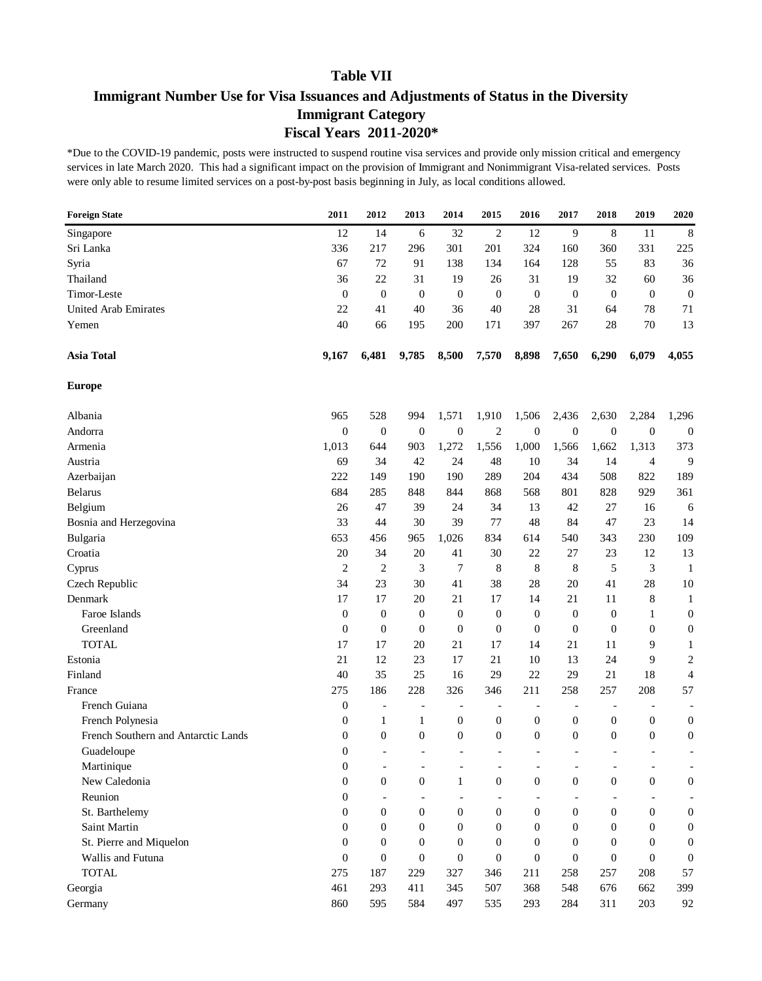# **Immigrant Number Use for Visa Issuances and Adjustments of Status in the Diversity Immigrant Category Fiscal Years 2011-2020\***

| <b>Foreign State</b>                | 2011             | 2012                     | 2013                     | 2014             | 2015                     | 2016                     | 2017                     | 2018             | 2019                     | 2020             |
|-------------------------------------|------------------|--------------------------|--------------------------|------------------|--------------------------|--------------------------|--------------------------|------------------|--------------------------|------------------|
| Singapore                           | 12               | 14                       | 6                        | 32               | 2                        | 12                       | 9                        | 8                | 11                       | 8                |
| Sri Lanka                           | 336              | 217                      | 296                      | 301              | 201                      | 324                      | 160                      | 360              | 331                      | 225              |
| Syria                               | 67               | 72                       | 91                       | 138              | 134                      | 164                      | 128                      | 55               | 83                       | 36               |
| Thailand                            | 36               | 22                       | 31                       | 19               | 26                       | 31                       | 19                       | 32               | 60                       | 36               |
| Timor-Leste                         | $\mathbf{0}$     | $\mathbf{0}$             | $\boldsymbol{0}$         | $\boldsymbol{0}$ | $\theta$                 | $\boldsymbol{0}$         | $\boldsymbol{0}$         | $\boldsymbol{0}$ | $\mathbf{0}$             | $\boldsymbol{0}$ |
| <b>United Arab Emirates</b>         | 22               | 41                       | 40                       | 36               | 40                       | 28                       | 31                       | 64               | 78                       | 71               |
| Yemen                               | 40               | 66                       | 195                      | 200              | 171                      | 397                      | 267                      | 28               | 70                       | 13               |
| <b>Asia Total</b>                   | 9,167            | 6,481                    | 9,785                    | 8,500            | 7,570                    | 8,898                    | 7,650                    | 6,290            | 6,079                    | 4,055            |
| <b>Europe</b>                       |                  |                          |                          |                  |                          |                          |                          |                  |                          |                  |
| Albania                             | 965              | 528                      | 994                      | 1,571            | 1,910                    | 1,506                    | 2,436                    | 2,630            | 2,284                    | 1,296            |
| Andorra                             | $\boldsymbol{0}$ | $\mathbf{0}$             | $\boldsymbol{0}$         | $\mathbf{0}$     | $\mathfrak{2}$           | $\boldsymbol{0}$         | $\boldsymbol{0}$         | $\boldsymbol{0}$ | $\boldsymbol{0}$         | $\mathbf{0}$     |
| Armenia                             | 1,013            | 644                      | 903                      | 1,272            | 1,556                    | 1,000                    | 1,566                    | 1,662            | 1,313                    | 373              |
| Austria                             | 69               | 34                       | 42                       | 24               | 48                       | 10                       | 34                       | 14               | 4                        | 9                |
| Azerbaijan                          | 222              | 149                      | 190                      | 190              | 289                      | 204                      | 434                      | 508              | 822                      | 189              |
| <b>Belarus</b>                      | 684              | 285                      | 848                      | 844              | 868                      | 568                      | 801                      | 828              | 929                      | 361              |
| Belgium                             | 26               | 47                       | 39                       | 24               | 34                       | 13                       | 42                       | 27               | 16                       | 6                |
| Bosnia and Herzegovina              | 33               | 44                       | 30                       | 39               | 77                       | 48                       | 84                       | 47               | 23                       | 14               |
| Bulgaria                            | 653              | 456                      | 965                      | 1,026            | 834                      | 614                      | 540                      | 343              | 230                      | 109              |
| Croatia                             | 20               | 34                       | 20                       | 41               | 30                       | 22                       | 27                       | 23               | 12                       | 13               |
| Cyprus                              | $\overline{c}$   | $\overline{2}$           | $\mathfrak{Z}$           | 7                | 8                        | 8                        | 8                        | 5                | 3                        | $\mathbf{1}$     |
| Czech Republic                      | 34               | 23                       | 30                       | 41               | 38                       | 28                       | 20                       | 41               | 28                       | 10               |
| Denmark                             | 17               | 17                       | 20                       | 21               | 17                       | 14                       | 21                       | 11               | 8                        | 1                |
| Faroe Islands                       | $\overline{0}$   | $\theta$                 | $\boldsymbol{0}$         | $\boldsymbol{0}$ | $\overline{0}$           | $\boldsymbol{0}$         | $\boldsymbol{0}$         | $\overline{0}$   | 1                        | $\boldsymbol{0}$ |
| Greenland                           | $\boldsymbol{0}$ | $\theta$                 | $\boldsymbol{0}$         | $\boldsymbol{0}$ | $\overline{0}$           | $\boldsymbol{0}$         | $\boldsymbol{0}$         | $\overline{0}$   | $\overline{0}$           | $\boldsymbol{0}$ |
| <b>TOTAL</b>                        | 17               | 17                       | 20                       | 21               | 17                       | 14                       | 21                       | 11               | 9                        | 1                |
| Estonia                             | 21               | 12                       | 23                       | 17               | 21                       | 10                       | 13                       | 24               | 9                        | $\sqrt{2}$       |
| Finland                             | 40               | 35                       | 25                       | 16               | 29                       | 22                       | 29                       | 21               | 18                       | 4                |
| France                              | 275              | 186                      | 228                      | 326              | 346                      | 211                      | 258                      | 257              | 208                      | 57               |
| French Guiana                       | 0                | $\overline{\phantom{0}}$ | $\overline{\phantom{a}}$ |                  | $\overline{\phantom{a}}$ | $\overline{\phantom{a}}$ | $\overline{\phantom{a}}$ |                  | $\overline{\phantom{0}}$ |                  |
| French Polynesia                    | 0                | 1                        | $\mathbf{1}$             | $\boldsymbol{0}$ | $\boldsymbol{0}$         | $\boldsymbol{0}$         | 0                        | $\boldsymbol{0}$ | $\boldsymbol{0}$         | $\boldsymbol{0}$ |
| French Southern and Antarctic Lands | 0                | $\boldsymbol{0}$         | $\boldsymbol{0}$         | $\boldsymbol{0}$ | $\boldsymbol{0}$         | 0                        | $\boldsymbol{0}$         | $\overline{0}$   | $\mathbf{0}$             | $\mathbf{0}$     |
| Guadeloupe                          | $\overline{0}$   |                          |                          |                  | $\overline{\phantom{a}}$ |                          | $\overline{\phantom{a}}$ |                  |                          |                  |
| Martinique                          | $\boldsymbol{0}$ |                          |                          |                  |                          |                          | $\overline{\phantom{a}}$ |                  | $\overline{\phantom{a}}$ |                  |
| New Caledonia                       | $\boldsymbol{0}$ | $\boldsymbol{0}$         | $\boldsymbol{0}$         | $\mathbf{1}$     | $\mathbf{0}$             | $\mathbf{0}$             | $\boldsymbol{0}$         | $\boldsymbol{0}$ | $\boldsymbol{0}$         | $\mathbf{0}$     |
| Reunion                             | $\boldsymbol{0}$ |                          | $\overline{\phantom{a}}$ |                  | $\overline{\phantom{a}}$ | $\overline{\phantom{0}}$ |                          |                  |                          |                  |
| St. Barthelemy                      | $\boldsymbol{0}$ | $\theta$                 | $\boldsymbol{0}$         | $\mathbf{0}$     | $\overline{0}$           | $\mathbf{0}$             | 0                        | $\overline{0}$   | $\mathbf{0}$             | $\mathbf{0}$     |
| Saint Martin                        | $\overline{0}$   | $\theta$                 | $\boldsymbol{0}$         | $\theta$         | $\overline{0}$           | $\boldsymbol{0}$         | $\boldsymbol{0}$         | $\overline{0}$   | $\overline{0}$           | $\boldsymbol{0}$ |
| St. Pierre and Miquelon             | $\theta$         | $\theta$                 | $\boldsymbol{0}$         | $\theta$         | $\overline{0}$           | $\boldsymbol{0}$         | $\boldsymbol{0}$         | $\overline{0}$   | $\overline{0}$           | $\mathbf{0}$     |
| Wallis and Futuna                   | $\theta$         | $\theta$                 | $\boldsymbol{0}$         | $\boldsymbol{0}$ | $\theta$                 | $\boldsymbol{0}$         | $\mathbf{0}$             | $\mathbf{0}$     | $\mathbf{0}$             | $\boldsymbol{0}$ |
| <b>TOTAL</b>                        | 275              | 187                      | 229                      | 327              | 346                      | 211                      | 258                      | 257              | 208                      | 57               |
| Georgia                             | 461              | 293                      | 411                      | 345              | 507                      | 368                      | 548                      | 676              | 662                      | 399              |
| Germany                             | 860              | 595                      | 584                      | 497              | 535                      | 293                      | 284                      | 311              | 203                      | 92               |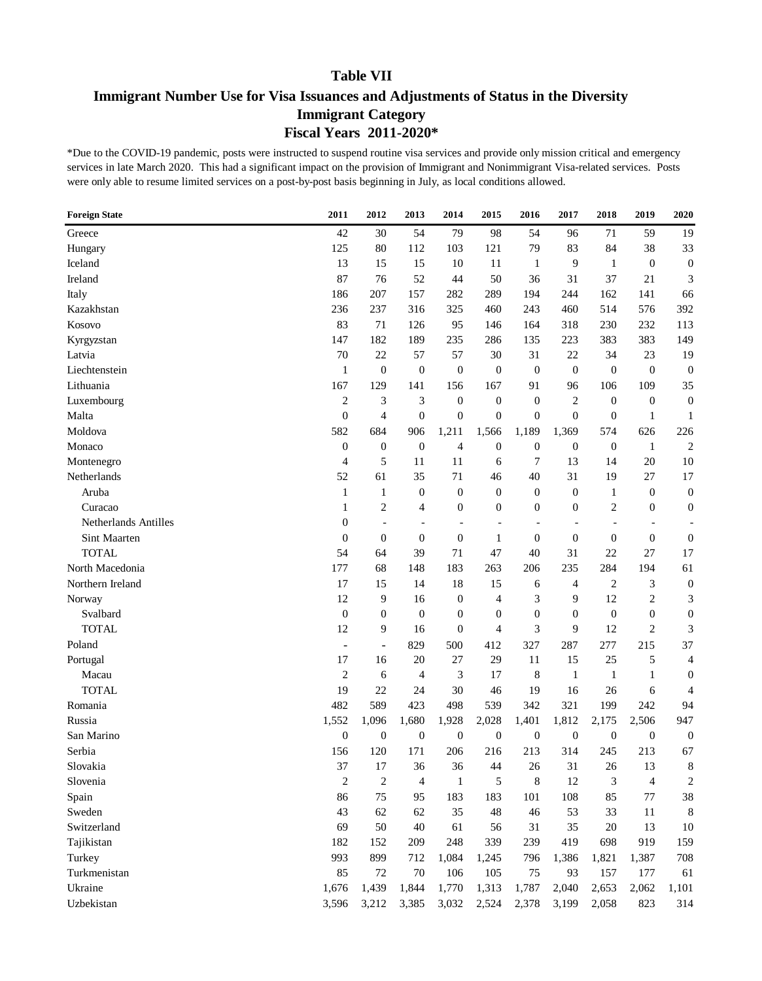# **Immigrant Number Use for Visa Issuances and Adjustments of Status in the Diversity Immigrant Category Fiscal Years 2011-2020\***

| <b>Foreign State</b> | 2011                     | 2012                     | 2013                     | 2014             | 2015                     | 2016             | 2017                     | 2018             | 2019           | 2020                        |
|----------------------|--------------------------|--------------------------|--------------------------|------------------|--------------------------|------------------|--------------------------|------------------|----------------|-----------------------------|
| Greece               | 42                       | 30                       | 54                       | 79               | 98                       | 54               | 96                       | 71               | 59             | 19                          |
| Hungary              | 125                      | 80                       | 112                      | 103              | 121                      | 79               | 83                       | 84               | 38             | 33                          |
| Iceland              | 13                       | 15                       | 15                       | 10               | 11                       | 1                | 9                        | $\mathbf{1}$     | $\mathbf{0}$   | $\boldsymbol{0}$            |
| Ireland              | 87                       | 76                       | 52                       | 44               | 50                       | 36               | 31                       | 37               | 21             | $\ensuremath{\mathfrak{Z}}$ |
| Italy                | 186                      | 207                      | 157                      | 282              | 289                      | 194              | 244                      | 162              | 141            | 66                          |
| Kazakhstan           | 236                      | 237                      | 316                      | 325              | 460                      | 243              | 460                      | 514              | 576            | 392                         |
| Kosovo               | 83                       | 71                       | 126                      | 95               | 146                      | 164              | 318                      | 230              | 232            | 113                         |
| Kyrgyzstan           | 147                      | 182                      | 189                      | 235              | 286                      | 135              | 223                      | 383              | 383            | 149                         |
| Latvia               | 70                       | 22                       | 57                       | 57               | 30                       | 31               | $22\,$                   | 34               | 23             | 19                          |
| Liechtenstein        | $\mathbf{1}$             | $\boldsymbol{0}$         | $\boldsymbol{0}$         | $\mathbf{0}$     | $\boldsymbol{0}$         | $\boldsymbol{0}$ | $\boldsymbol{0}$         | $\boldsymbol{0}$ | $\mathbf{0}$   | $\mathbf{0}$                |
| Lithuania            | 167                      | 129                      | 141                      | 156              | 167                      | 91               | 96                       | 106              | 109            | 35                          |
| Luxembourg           | $\mathfrak{2}$           | 3                        | 3                        | $\mathbf{0}$     | $\overline{0}$           | $\boldsymbol{0}$ | $\overline{c}$           | $\overline{0}$   | $\overline{0}$ | $\boldsymbol{0}$            |
| Malta                | $\boldsymbol{0}$         | 4                        | $\boldsymbol{0}$         | $\mathbf{0}$     | $\overline{0}$           | $\boldsymbol{0}$ | $\boldsymbol{0}$         | $\overline{0}$   | $\mathbf{1}$   | 1                           |
| Moldova              | 582                      | 684                      | 906                      | 1,211            | 1,566                    | 1,189            | 1,369                    | 574              | 626            | 226                         |
| Monaco               | $\boldsymbol{0}$         | $\mathbf{0}$             | $\boldsymbol{0}$         | 4                | $\boldsymbol{0}$         | $\boldsymbol{0}$ | $\boldsymbol{0}$         | $\boldsymbol{0}$ | $\mathbf{1}$   | $\boldsymbol{2}$            |
| Montenegro           | 4                        | 5                        | 11                       | 11               | 6                        | 7                | 13                       | 14               | 20             | 10                          |
| Netherlands          | 52                       | 61                       | 35                       | 71               | 46                       | 40               | 31                       | 19               | 27             | 17                          |
| Aruba                | $\mathbf{1}$             | 1                        | $\boldsymbol{0}$         | $\mathbf{0}$     | $\mathbf{0}$             | $\boldsymbol{0}$ | $\boldsymbol{0}$         | $\mathbf{1}$     | $\theta$       | $\boldsymbol{0}$            |
| Curacao              | $\mathbf{1}$             | $\overline{c}$           | 4                        | $\boldsymbol{0}$ | $\overline{0}$           | 0                | $\boldsymbol{0}$         | $\mathfrak{2}$   | $\theta$       | $\boldsymbol{0}$            |
| Netherlands Antilles | $\boldsymbol{0}$         |                          | $\overline{\phantom{a}}$ | $\overline{a}$   | $\overline{\phantom{a}}$ |                  | $\overline{\phantom{a}}$ | $\overline{a}$   |                |                             |
| Sint Maarten         | $\boldsymbol{0}$         | $\boldsymbol{0}$         | $\boldsymbol{0}$         | $\boldsymbol{0}$ | 1                        | $\theta$         | $\boldsymbol{0}$         | $\overline{0}$   | $\overline{0}$ | $\boldsymbol{0}$            |
| <b>TOTAL</b>         | 54                       | 64                       | 39                       | 71               | 47                       | 40               | 31                       | 22               | 27             | 17                          |
| North Macedonia      | 177                      | 68                       | 148                      | 183              | 263                      | 206              | 235                      | 284              | 194            | 61                          |
| Northern Ireland     | 17                       | 15                       | 14                       | 18               | 15                       | 6                | 4                        | $\mathfrak{2}$   | 3              | $\boldsymbol{0}$            |
| Norway               | 12                       | 9                        | 16                       | $\mathbf{0}$     | $\overline{4}$           | 3                | 9                        | 12               | $\overline{c}$ | 3                           |
| Svalbard             | $\boldsymbol{0}$         | $\mathbf{0}$             | $\boldsymbol{0}$         | $\theta$         | $\overline{0}$           | $\boldsymbol{0}$ | $\boldsymbol{0}$         | $\theta$         | $\theta$       | $\boldsymbol{0}$            |
| <b>TOTAL</b>         | 12                       | 9                        | 16                       | $\boldsymbol{0}$ | $\overline{4}$           | 3                | 9                        | 12               | $\overline{2}$ | 3                           |
| Poland               | $\overline{\phantom{a}}$ | $\overline{\phantom{a}}$ | 829                      | 500              | 412                      | 327              | 287                      | 277              | 215            | 37                          |
| Portugal             | 17                       | 16                       | 20                       | $27\,$           | 29                       | 11               | 15                       | 25               | 5              | 4                           |
| Macau                | $\overline{2}$           | 6                        | 4                        | 3                | 17                       | 8                | $\mathbf{1}$             | $\mathbf{1}$     | $\mathbf{1}$   | $\boldsymbol{0}$            |
| <b>TOTAL</b>         | 19                       | 22                       | 24                       | 30               | 46                       | 19               | 16                       | 26               | 6              | 4                           |
| Romania              | 482                      | 589                      | 423                      | 498              | 539                      | 342              | 321                      | 199              | 242            | 94                          |
| Russia               | 1,552                    | 1,096                    | 1,680                    | 1,928            | 2,028                    | 1,401            | 1,812                    | 2,175            | 2,506          | 947                         |
| San Marino           | $\boldsymbol{0}$         | $\mathbf{0}$             | $\boldsymbol{0}$         | $\mathbf{0}$     | $\mathbf{0}$             | $\boldsymbol{0}$ | $\boldsymbol{0}$         | $\boldsymbol{0}$ | $\mathbf{0}$   | $\mathbf{0}$                |
| Serbia               | 156                      | 120                      | 171                      | 206              | 216                      | 213              | 314                      | 245              | 213            | 67                          |
| Slovakia             | 37                       | 17                       | 36                       | 36               | 44                       | 26               | 31                       | 26               | 13             | 8                           |
| Slovenia             | $\mathfrak{2}$           | $\overline{2}$           | $\overline{\mathcal{A}}$ | $\mathbf{1}$     | 5                        | $\,8\,$          | 12                       | 3                | $\overline{4}$ | $\boldsymbol{2}$            |
| Spain                | 86                       | 75                       | 95                       | 183              | 183                      | 101              | 108                      | 85               | 77             | 38                          |
| Sweden               | 43                       | 62                       | 62                       | 35               | 48                       | 46               | 53                       | 33               | 11             | 8                           |
| Switzerland          | 69                       | 50                       | 40                       | 61               | 56                       | 31               | 35                       | 20               | 13             | $10\,$                      |
| Tajikistan           | 182                      | 152                      | 209                      | 248              | 339                      | 239              | 419                      | 698              | 919            | 159                         |
| Turkey               | 993                      | 899                      | 712                      | 1,084            | 1,245                    | 796              | 1,386                    | 1,821            | 1,387          | 708                         |
| Turkmenistan         | 85                       | $72\,$                   | 70                       | 106              | 105                      | 75               | 93                       | 157              | 177            | 61                          |
| Ukraine              | 1,676                    | 1,439                    | 1,844                    | 1,770            | 1,313                    | 1,787            | 2,040                    | 2,653            | 2,062          | 1,101                       |
| Uzbekistan           | 3,596                    | 3,212                    | 3,385                    | 3,032            | 2,524                    | 2,378            | 3,199                    | 2,058            | 823            | 314                         |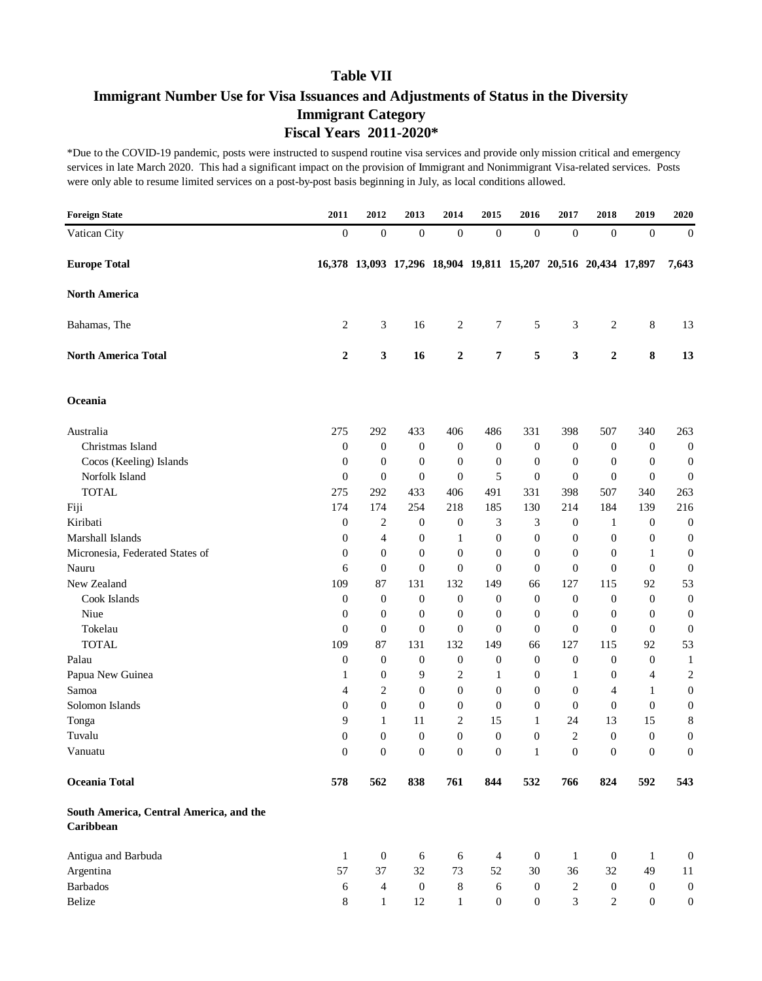# **Immigrant Number Use for Visa Issuances and Adjustments of Status in the Diversity Immigrant Category Fiscal Years 2011-2020\***

| <b>Foreign State</b>                                 | 2011             | 2012             | 2013                                                           | 2014             | 2015             | 2016             | 2017                        | 2018             | 2019             | 2020             |
|------------------------------------------------------|------------------|------------------|----------------------------------------------------------------|------------------|------------------|------------------|-----------------------------|------------------|------------------|------------------|
| Vatican City                                         | $\boldsymbol{0}$ | $\mathbf{0}$     | $\boldsymbol{0}$                                               | $\boldsymbol{0}$ | $\boldsymbol{0}$ | $\boldsymbol{0}$ | $\boldsymbol{0}$            | $\boldsymbol{0}$ | $\theta$         | $\mathbf{0}$     |
| <b>Europe Total</b>                                  |                  |                  | 16,378 13,093 17,296 18,904 19,811 15,207 20,516 20,434 17,897 |                  |                  |                  |                             |                  |                  | 7,643            |
| <b>North America</b>                                 |                  |                  |                                                                |                  |                  |                  |                             |                  |                  |                  |
| Bahamas, The                                         | 2                | 3                | 16                                                             | 2                | 7                | 5                | 3                           | 2                | 8                | 13               |
| <b>North America Total</b>                           | $\boldsymbol{2}$ | $\mathbf{3}$     | 16                                                             | $\boldsymbol{2}$ | 7                | 5                | 3                           | $\boldsymbol{2}$ | 8                | 13               |
| Oceania                                              |                  |                  |                                                                |                  |                  |                  |                             |                  |                  |                  |
| Australia                                            | 275              | 292              | 433                                                            | 406              | 486              | 331              | 398                         | 507              | 340              | 263              |
| Christmas Island                                     | $\boldsymbol{0}$ | $\boldsymbol{0}$ | $\mathbf{0}$                                                   | $\boldsymbol{0}$ | $\boldsymbol{0}$ | $\mathbf{0}$     | $\boldsymbol{0}$            | $\mathbf{0}$     | $\mathbf{0}$     | $\mathbf{0}$     |
| Cocos (Keeling) Islands                              | $\boldsymbol{0}$ | $\boldsymbol{0}$ | $\boldsymbol{0}$                                               | $\boldsymbol{0}$ | $\boldsymbol{0}$ | $\boldsymbol{0}$ | $\boldsymbol{0}$            | $\boldsymbol{0}$ | $\boldsymbol{0}$ | $\mathbf{0}$     |
| Norfolk Island                                       | $\boldsymbol{0}$ | $\theta$         | $\boldsymbol{0}$                                               | $\boldsymbol{0}$ | 5                | $\boldsymbol{0}$ | $\boldsymbol{0}$            | $\theta$         | $\boldsymbol{0}$ | $\mathbf{0}$     |
| <b>TOTAL</b>                                         | 275              | 292              | 433                                                            | 406              | 491              | 331              | 398                         | 507              | 340              | 263              |
| Fiji                                                 | 174              | 174              | 254                                                            | 218              | 185              | 130              | 214                         | 184              | 139              | 216              |
| Kiribati                                             | $\boldsymbol{0}$ | 2                | $\boldsymbol{0}$                                               | $\mathbf{0}$     | 3                | 3                | $\boldsymbol{0}$            | $\mathbf{1}$     | $\boldsymbol{0}$ | $\mathbf{0}$     |
| Marshall Islands                                     | $\boldsymbol{0}$ | 4                | $\mathbf{0}$                                                   | 1                | $\mathbf{0}$     | $\boldsymbol{0}$ | 0                           | $\theta$         | $\boldsymbol{0}$ | $\boldsymbol{0}$ |
| Micronesia, Federated States of                      | $\boldsymbol{0}$ | $\mathbf{0}$     | $\boldsymbol{0}$                                               | $\theta$         | $\theta$         | $\boldsymbol{0}$ | $\boldsymbol{0}$            | $\overline{0}$   | 1                | $\boldsymbol{0}$ |
| Nauru                                                | 6                | $\theta$         | $\boldsymbol{0}$                                               | $\theta$         | $\theta$         | $\boldsymbol{0}$ | $\boldsymbol{0}$            | $\overline{0}$   | $\theta$         | $\theta$         |
| New Zealand                                          | 109              | 87               | 131                                                            | 132              | 149              | 66               | 127                         | 115              | 92               | 53               |
| Cook Islands                                         | $\boldsymbol{0}$ | $\boldsymbol{0}$ | $\boldsymbol{0}$                                               | $\boldsymbol{0}$ | $\boldsymbol{0}$ | $\boldsymbol{0}$ | $\boldsymbol{0}$            | $\boldsymbol{0}$ | $\boldsymbol{0}$ | $\mathbf{0}$     |
| Niue                                                 | 0                | $\boldsymbol{0}$ | $\boldsymbol{0}$                                               | $\boldsymbol{0}$ | $\boldsymbol{0}$ | $\boldsymbol{0}$ | $\boldsymbol{0}$            | $\boldsymbol{0}$ | $\boldsymbol{0}$ | $\mathbf{0}$     |
| Tokelau                                              | $\boldsymbol{0}$ | $\boldsymbol{0}$ | $\mathbf{0}$                                                   | $\boldsymbol{0}$ | $\boldsymbol{0}$ | $\boldsymbol{0}$ | $\boldsymbol{0}$            | $\theta$         | $\theta$         | $\mathbf{0}$     |
| <b>TOTAL</b>                                         | 109              | 87               | 131                                                            | 132              | 149              | 66               | 127                         | 115              | 92               | 53               |
| Palau                                                | 0                | $\boldsymbol{0}$ | $\boldsymbol{0}$                                               | $\mathbf{0}$     | $\boldsymbol{0}$ | $\boldsymbol{0}$ | $\boldsymbol{0}$            | $\boldsymbol{0}$ | $\boldsymbol{0}$ | 1                |
| Papua New Guinea                                     | 1                | $\boldsymbol{0}$ | 9                                                              | 2                | 1                | $\mathbf{0}$     | 1                           | 0                | 4                | 2                |
| Samoa                                                | 4                | 2                | $\mathbf{0}$                                                   | $\theta$         | $\mathbf{0}$     | $\boldsymbol{0}$ | $\boldsymbol{0}$            | 4                | 1                | $\boldsymbol{0}$ |
| Solomon Islands                                      | $\boldsymbol{0}$ | $\boldsymbol{0}$ | $\boldsymbol{0}$                                               | $\boldsymbol{0}$ | $\boldsymbol{0}$ | $\boldsymbol{0}$ | $\boldsymbol{0}$            | $\theta$         | $\boldsymbol{0}$ | $\mathbf{0}$     |
| Tonga                                                | 9                | 1                | 11                                                             | $\overline{2}$   | 15               | 1                | 24                          | 13               | 15               | $\,8\,$          |
| Tuvalu                                               | $\boldsymbol{0}$ | $\boldsymbol{0}$ | $\boldsymbol{0}$                                               | $\mathbf{0}$     | $\boldsymbol{0}$ | 0                | $\overline{2}$              | $\overline{0}$   | $\boldsymbol{0}$ | $\boldsymbol{0}$ |
| Vanuatu                                              | $\boldsymbol{0}$ | $\mathbf{0}$     | $\boldsymbol{0}$                                               | $\boldsymbol{0}$ | $\overline{0}$   | $\mathbf{1}$     | $\overline{0}$              | $\Omega$         | $\overline{0}$   | $\mathbf{0}$     |
| Oceania Total                                        | 578              | 562              | 838                                                            | 761              | 844              | 532              | 766                         | 824              | 592              | 543              |
| South America, Central America, and the<br>Caribbean |                  |                  |                                                                |                  |                  |                  |                             |                  |                  |                  |
| Antigua and Barbuda                                  | $\mathbf{1}$     | $\boldsymbol{0}$ | 6                                                              | $\sqrt{6}$       | $\overline{4}$   | $\boldsymbol{0}$ | $\mathbf{1}$                | $\boldsymbol{0}$ | $\mathbf{1}$     | $\boldsymbol{0}$ |
| Argentina                                            | 57               | 37               | 32                                                             | $73\,$           | 52               | $30\,$           | 36                          | 32               | 49               | 11               |
| <b>Barbados</b>                                      | 6                | 4                | $\boldsymbol{0}$                                               | $\,8\,$          | 6                | $\boldsymbol{0}$ | $\boldsymbol{2}$            | $\boldsymbol{0}$ | $\boldsymbol{0}$ | $\boldsymbol{0}$ |
| Belize                                               | $\,8\,$          | $\mathbf{1}$     | 12                                                             | $\mathbf{1}$     | $\boldsymbol{0}$ | $\boldsymbol{0}$ | $\ensuremath{\mathfrak{Z}}$ | $\boldsymbol{2}$ | $\boldsymbol{0}$ | $\boldsymbol{0}$ |